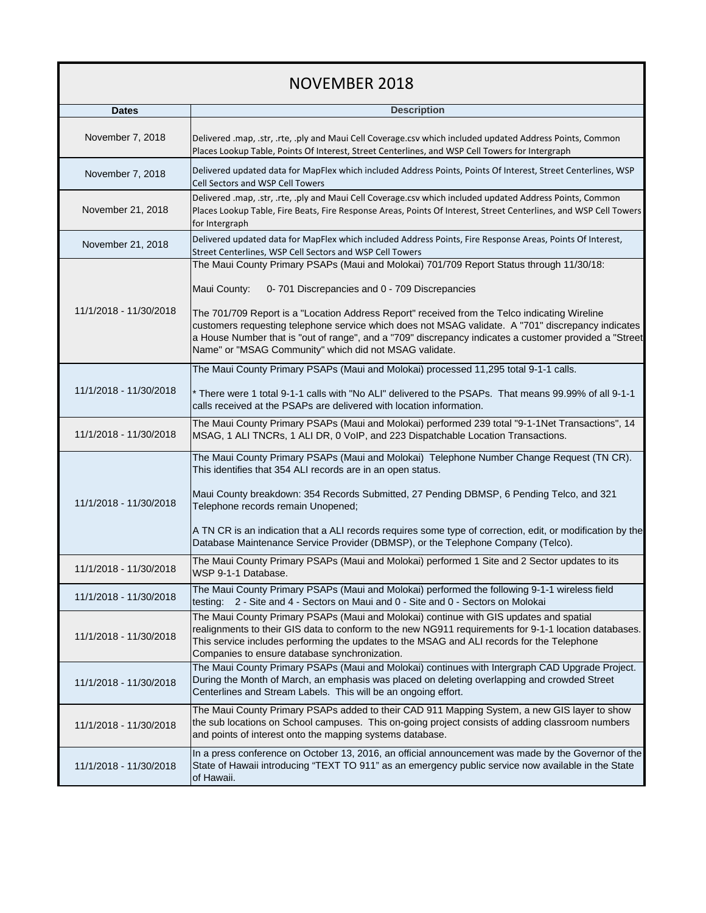## NOVEMBER 2018

| <b>Dates</b>           | <b>Description</b>                                                                                                                                                                                                                                                                                                                                                                                                                                                                                                                   |
|------------------------|--------------------------------------------------------------------------------------------------------------------------------------------------------------------------------------------------------------------------------------------------------------------------------------------------------------------------------------------------------------------------------------------------------------------------------------------------------------------------------------------------------------------------------------|
| November 7, 2018       | Delivered .map, .str, .rte, .ply and Maui Cell Coverage.csv which included updated Address Points, Common<br>Places Lookup Table, Points Of Interest, Street Centerlines, and WSP Cell Towers for Intergraph                                                                                                                                                                                                                                                                                                                         |
| November 7, 2018       | Delivered updated data for MapFlex which included Address Points, Points Of Interest, Street Centerlines, WSP<br>Cell Sectors and WSP Cell Towers                                                                                                                                                                                                                                                                                                                                                                                    |
| November 21, 2018      | Delivered .map, .str, .rte, .ply and Maui Cell Coverage.csv which included updated Address Points, Common<br>Places Lookup Table, Fire Beats, Fire Response Areas, Points Of Interest, Street Centerlines, and WSP Cell Towers<br>for Intergraph                                                                                                                                                                                                                                                                                     |
| November 21, 2018      | Delivered updated data for MapFlex which included Address Points, Fire Response Areas, Points Of Interest,<br>Street Centerlines, WSP Cell Sectors and WSP Cell Towers                                                                                                                                                                                                                                                                                                                                                               |
| 11/1/2018 - 11/30/2018 | The Maui County Primary PSAPs (Maui and Molokai) 701/709 Report Status through 11/30/18:<br>Maui County:<br>0-701 Discrepancies and 0 - 709 Discrepancies<br>The 701/709 Report is a "Location Address Report" received from the Telco indicating Wireline<br>customers requesting telephone service which does not MSAG validate. A "701" discrepancy indicates<br>a House Number that is "out of range", and a "709" discrepancy indicates a customer provided a "Street<br>Name" or "MSAG Community" which did not MSAG validate. |
|                        | The Maui County Primary PSAPs (Maui and Molokai) processed 11,295 total 9-1-1 calls.                                                                                                                                                                                                                                                                                                                                                                                                                                                 |
| 11/1/2018 - 11/30/2018 | * There were 1 total 9-1-1 calls with "No ALI" delivered to the PSAPs. That means 99.99% of all 9-1-1<br>calls received at the PSAPs are delivered with location information.                                                                                                                                                                                                                                                                                                                                                        |
| 11/1/2018 - 11/30/2018 | The Maui County Primary PSAPs (Maui and Molokai) performed 239 total "9-1-1Net Transactions", 14<br>MSAG, 1 ALI TNCRs, 1 ALI DR, 0 VoIP, and 223 Dispatchable Location Transactions.                                                                                                                                                                                                                                                                                                                                                 |
| 11/1/2018 - 11/30/2018 | The Maui County Primary PSAPs (Maui and Molokai) Telephone Number Change Request (TN CR).<br>This identifies that 354 ALI records are in an open status.<br>Maui County breakdown: 354 Records Submitted, 27 Pending DBMSP, 6 Pending Telco, and 321<br>Telephone records remain Unopened;<br>A TN CR is an indication that a ALI records requires some type of correction, edit, or modification by the<br>Database Maintenance Service Provider (DBMSP), or the Telephone Company (Telco).                                         |
| 11/1/2018 - 11/30/2018 | The Maui County Primary PSAPs (Maui and Molokai) performed 1 Site and 2 Sector updates to its<br>WSP 9-1-1 Database.                                                                                                                                                                                                                                                                                                                                                                                                                 |
| 11/1/2018 - 11/30/2018 | The Maui County Primary PSAPs (Maui and Molokai) performed the following 9-1-1 wireless field<br>testing: 2 - Site and 4 - Sectors on Maui and 0 - Site and 0 - Sectors on Molokai                                                                                                                                                                                                                                                                                                                                                   |
| 11/1/2018 - 11/30/2018 | The Maui County Primary PSAPs (Maui and Molokai) continue with GIS updates and spatial<br>realignments to their GIS data to conform to the new NG911 requirements for 9-1-1 location databases.<br>This service includes performing the updates to the MSAG and ALI records for the Telephone<br>Companies to ensure database synchronization.                                                                                                                                                                                       |
| 11/1/2018 - 11/30/2018 | The Maui County Primary PSAPs (Maui and Molokai) continues with Intergraph CAD Upgrade Project.<br>During the Month of March, an emphasis was placed on deleting overlapping and crowded Street<br>Centerlines and Stream Labels. This will be an ongoing effort.                                                                                                                                                                                                                                                                    |
| 11/1/2018 - 11/30/2018 | The Maui County Primary PSAPs added to their CAD 911 Mapping System, a new GIS layer to show<br>the sub locations on School campuses. This on-going project consists of adding classroom numbers<br>and points of interest onto the mapping systems database.                                                                                                                                                                                                                                                                        |
| 11/1/2018 - 11/30/2018 | In a press conference on October 13, 2016, an official announcement was made by the Governor of the<br>State of Hawaii introducing "TEXT TO 911" as an emergency public service now available in the State<br>of Hawaii.                                                                                                                                                                                                                                                                                                             |